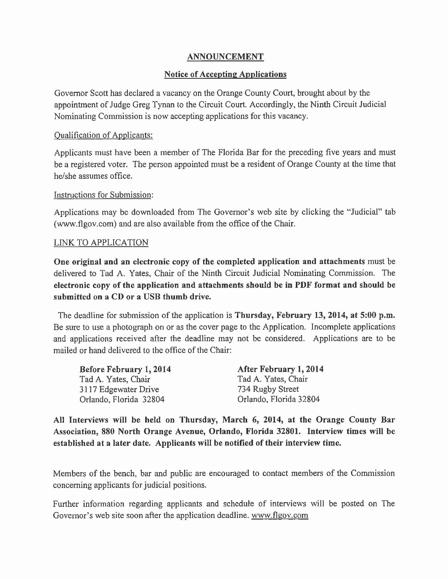# ANNOUNCEMENT

## Notice of Accepting Applications

Governor Scott has declared a vacancy on the Orange County Court, brought about by the appointment of Judge Greg Tynan to the Circuit Court. Accordingly, the Ninth Circuit Judicial Nominating Commission is now accepting applications for this vacancy.

## Qualification of Applicants:

Applicants must have been a member of The Florida Bar for the preceding five years and must be a registered voter. The person appointed must be a resident of Orange County at the time that he/she assumes office.

### Instructions for Submission:

Applications may be downloaded from The Governor's web site by clicking the "Judicial" tab (www.flgov.com) and are also available from the office of the Chair.

### LINK TO APPLICATION

One original and an electronic copy of the completed application and attachments must be delivered to Tad A. Yates, Chair of the Ninth Circuit Judicial Nominating Commission. The electronic copy of the application and attachments should be in PDF format and should be submitted on a CD or a USB thumb drive.

The deadline for submission of the application is **Thursday, February 13, 2014, at 5:00 p.m.** Be sure to use a photograph on or as the cover page to the Application. Incomplete applications and applications received after the deadline may not be considered. Applications are to be mailed or hand delivered to the office of the Chair:

| Before February 1, 2014 | After February 1, 2014 |
|-------------------------|------------------------|
| Tad A. Yates, Chair     | Tad A. Yates, Chair    |
| 3117 Edgewater Drive    | 734 Rugby Street       |
| Orlando, Florida 32804  | Orlando, Florida 32804 |

All Interviews will be held on Thursday, March 6, 2014, at the Orange County Bar Association, 880 North Orange Avenue, Orlando, Florida 32801. Interview times will be established at a later date. Applicants will be notified of their interview time.

Members of the bench, bar and public are encouraged to contact members of the Commission concerning applicants for judicial positions.

Further information regarding applicants and schedule of interviews will be posted on The Governor's web site soon after the application deadline. www.flgov.com